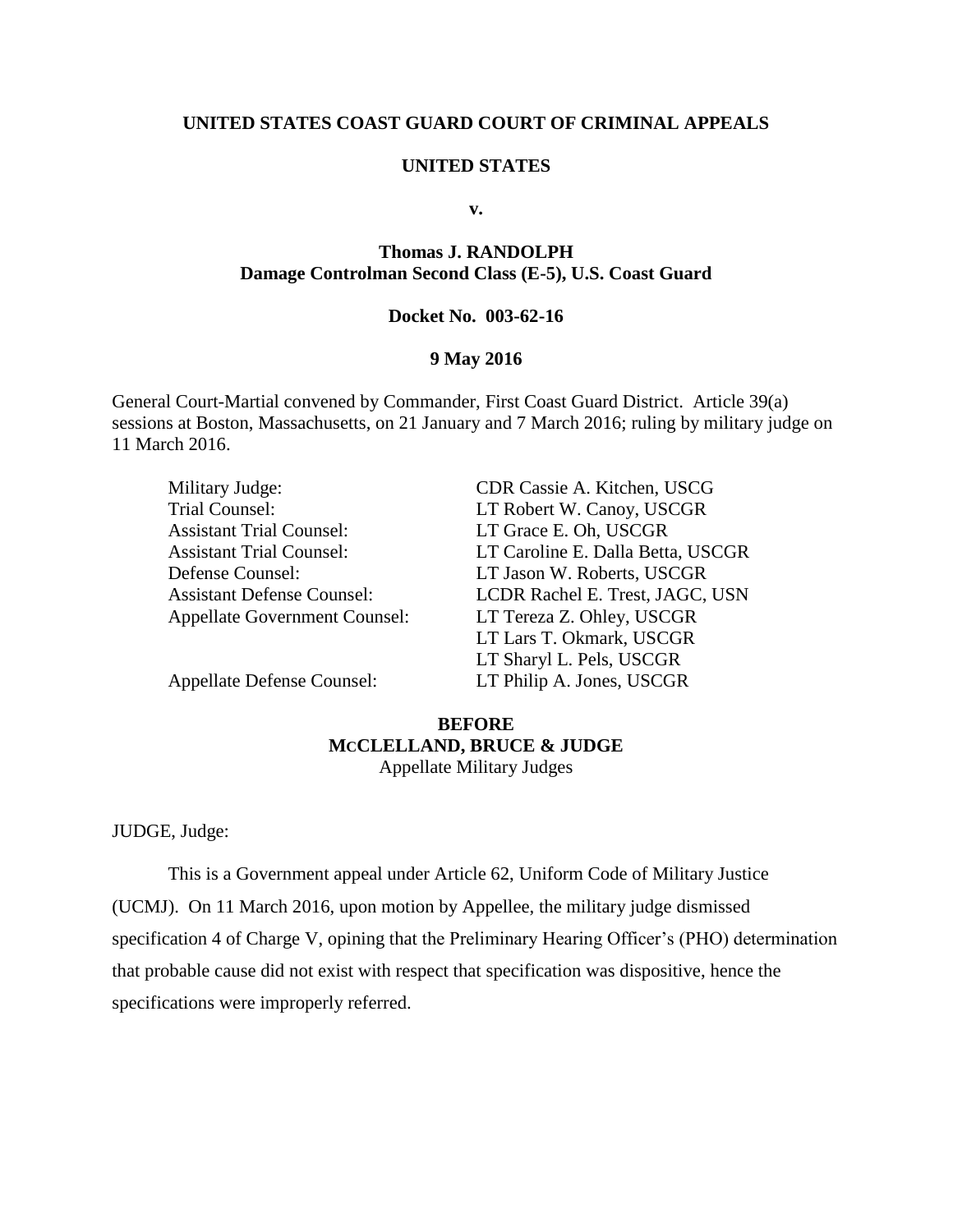## **UNITED STATES COAST GUARD COURT OF CRIMINAL APPEALS**

## **UNITED STATES**

**v.**

# **Thomas J. RANDOLPH Damage Controlman Second Class (E-5), U.S. Coast Guard**

#### **Docket No. 003-62-16**

## **9 May 2016**

General Court-Martial convened by Commander, First Coast Guard District. Article 39(a) sessions at Boston, Massachusetts, on 21 January and 7 March 2016; ruling by military judge on 11 March 2016.

| Military Judge:                      | CDR Cassie A. Kitchen, USCG       |
|--------------------------------------|-----------------------------------|
| Trial Counsel:                       | LT Robert W. Canoy, USCGR         |
| <b>Assistant Trial Counsel:</b>      | LT Grace E. Oh, USCGR             |
| <b>Assistant Trial Counsel:</b>      | LT Caroline E. Dalla Betta, USCGR |
| Defense Counsel:                     | LT Jason W. Roberts, USCGR        |
| <b>Assistant Defense Counsel:</b>    | LCDR Rachel E. Trest, JAGC, USN   |
| <b>Appellate Government Counsel:</b> | LT Tereza Z. Ohley, USCGR         |
|                                      | LT Lars T. Okmark, USCGR          |
|                                      | LT Sharyl L. Pels, USCGR          |
|                                      |                                   |

Appellate Defense Counsel: LT Philip A. Jones, USCGR

# **BEFORE MCCLELLAND, BRUCE & JUDGE**

Appellate Military Judges

JUDGE, Judge:

This is a Government appeal under Article 62, Uniform Code of Military Justice (UCMJ). On 11 March 2016, upon motion by Appellee, the military judge dismissed specification 4 of Charge V, opining that the Preliminary Hearing Officer's (PHO) determination that probable cause did not exist with respect that specification was dispositive, hence the specifications were improperly referred.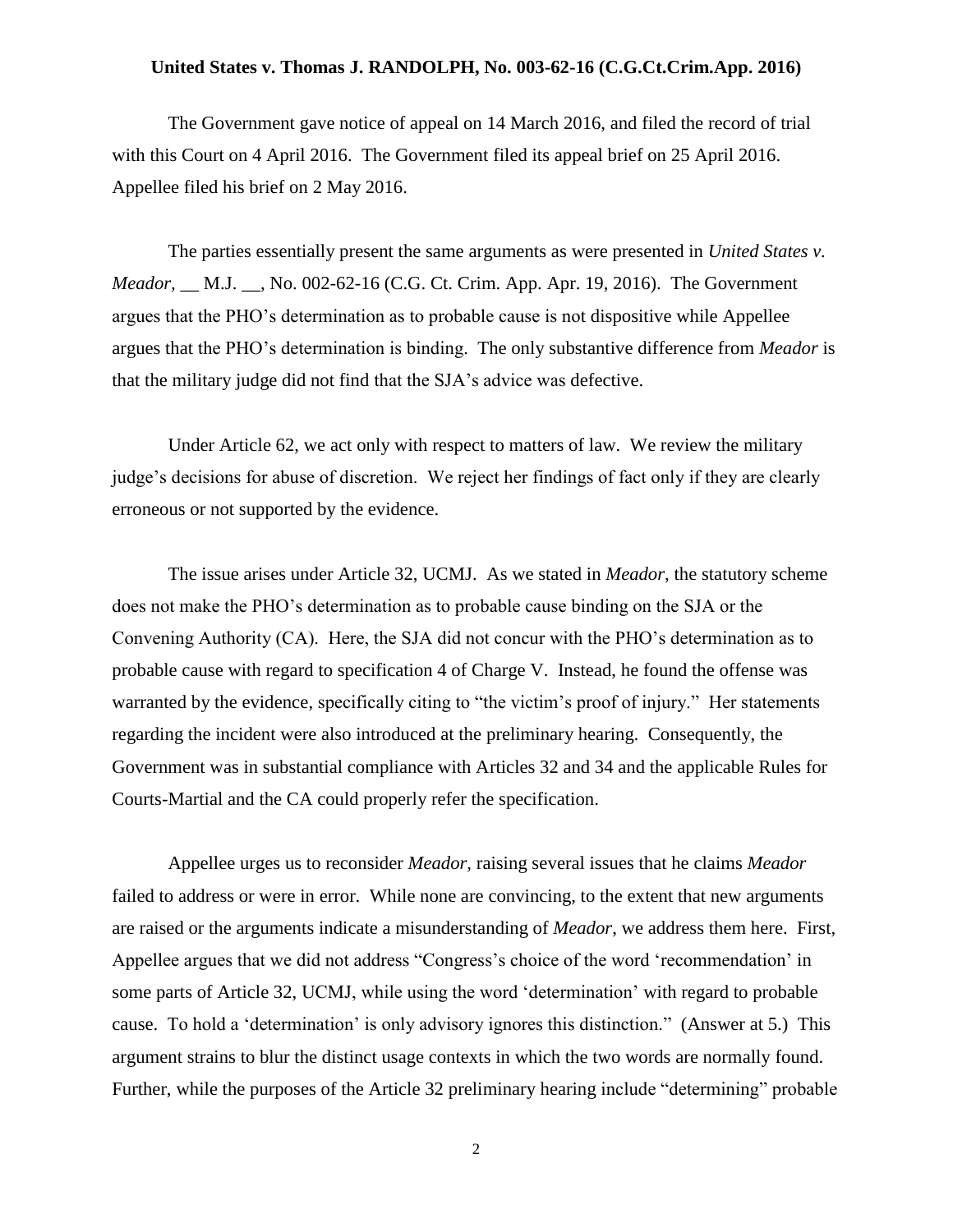### **United States v. Thomas J. RANDOLPH, No. 003-62-16 (C.G.Ct.Crim.App. 2016)**

The Government gave notice of appeal on 14 March 2016, and filed the record of trial with this Court on 4 April 2016. The Government filed its appeal brief on 25 April 2016. Appellee filed his brief on 2 May 2016.

The parties essentially present the same arguments as were presented in *United States v. Meador,* \_\_ M.J. \_\_, No. 002-62-16 (C.G. Ct. Crim. App. Apr. 19, 2016). The Government argues that the PHO's determination as to probable cause is not dispositive while Appellee argues that the PHO's determination is binding. The only substantive difference from *Meador* is that the military judge did not find that the SJA's advice was defective.

Under Article 62, we act only with respect to matters of law. We review the military judge's decisions for abuse of discretion. We reject her findings of fact only if they are clearly erroneous or not supported by the evidence.

The issue arises under Article 32, UCMJ. As we stated in *Meador*, the statutory scheme does not make the PHO's determination as to probable cause binding on the SJA or the Convening Authority (CA). Here, the SJA did not concur with the PHO's determination as to probable cause with regard to specification 4 of Charge V. Instead, he found the offense was warranted by the evidence, specifically citing to "the victim's proof of injury." Her statements regarding the incident were also introduced at the preliminary hearing. Consequently, the Government was in substantial compliance with Articles 32 and 34 and the applicable Rules for Courts-Martial and the CA could properly refer the specification.

Appellee urges us to reconsider *Meador,* raising several issues that he claims *Meador* failed to address or were in error. While none are convincing, to the extent that new arguments are raised or the arguments indicate a misunderstanding of *Meador*, we address them here. First, Appellee argues that we did not address "Congress's choice of the word 'recommendation' in some parts of Article 32, UCMJ, while using the word 'determination' with regard to probable cause. To hold a 'determination' is only advisory ignores this distinction." (Answer at 5.) This argument strains to blur the distinct usage contexts in which the two words are normally found. Further, while the purposes of the Article 32 preliminary hearing include "determining" probable

2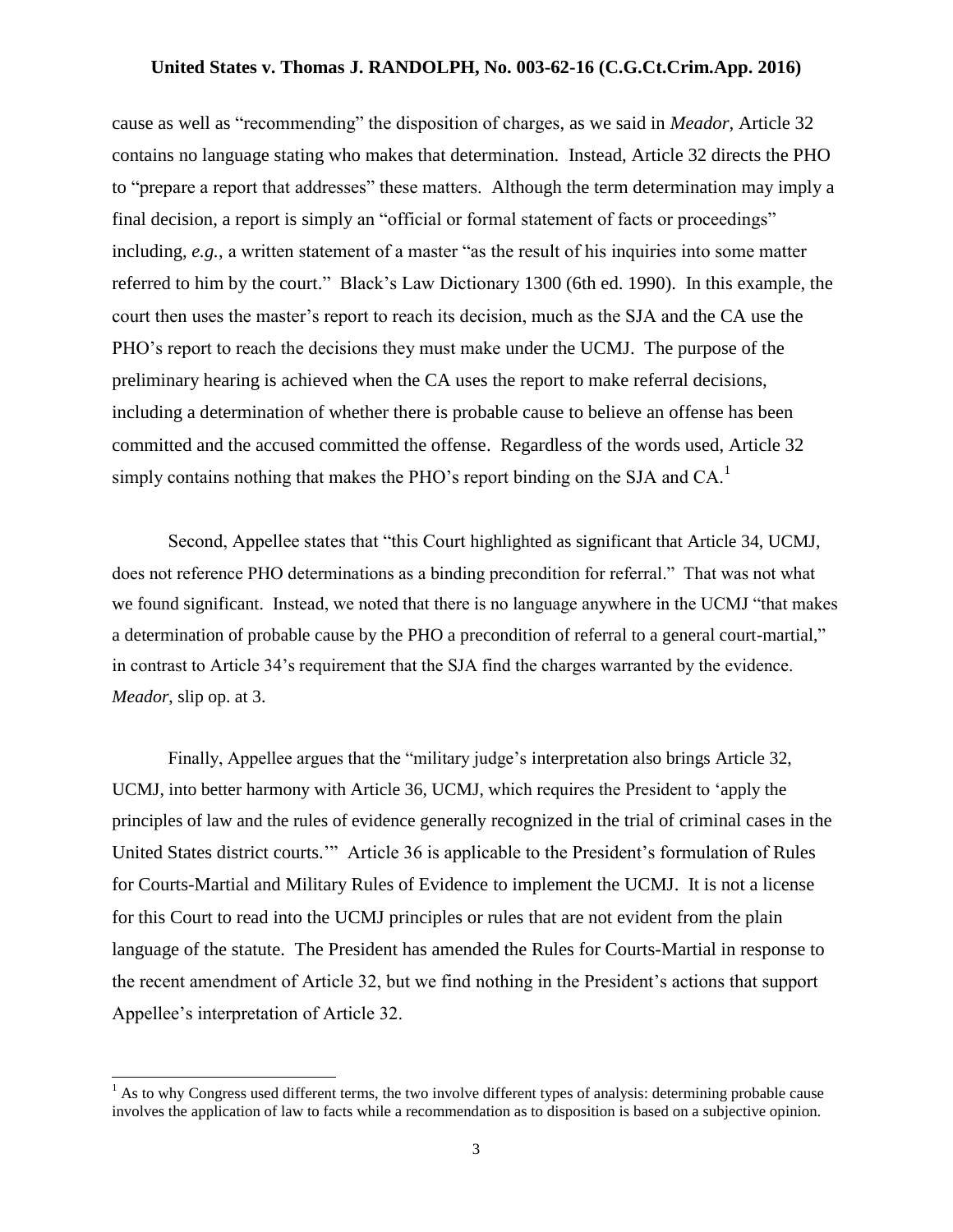### **United States v. Thomas J. RANDOLPH, No. 003-62-16 (C.G.Ct.Crim.App. 2016)**

cause as well as "recommending" the disposition of charges, as we said in *Meador,* Article 32 contains no language stating who makes that determination. Instead, Article 32 directs the PHO to "prepare a report that addresses" these matters. Although the term determination may imply a final decision, a report is simply an "official or formal statement of facts or proceedings" including, *e.g.*, a written statement of a master "as the result of his inquiries into some matter referred to him by the court." Black's Law Dictionary 1300 (6th ed. 1990). In this example, the court then uses the master's report to reach its decision, much as the SJA and the CA use the PHO's report to reach the decisions they must make under the UCMJ. The purpose of the preliminary hearing is achieved when the CA uses the report to make referral decisions, including a determination of whether there is probable cause to believe an offense has been committed and the accused committed the offense. Regardless of the words used, Article 32 simply contains nothing that makes the PHO's report binding on the SJA and CA.<sup>1</sup>

Second, Appellee states that "this Court highlighted as significant that Article 34, UCMJ, does not reference PHO determinations as a binding precondition for referral." That was not what we found significant. Instead, we noted that there is no language anywhere in the UCMJ "that makes a determination of probable cause by the PHO a precondition of referral to a general court-martial," in contrast to Article 34's requirement that the SJA find the charges warranted by the evidence. *Meador*, slip op. at 3.

Finally, Appellee argues that the "military judge's interpretation also brings Article 32, UCMJ, into better harmony with Article 36, UCMJ, which requires the President to 'apply the principles of law and the rules of evidence generally recognized in the trial of criminal cases in the United States district courts.'" Article 36 is applicable to the President's formulation of Rules for Courts-Martial and Military Rules of Evidence to implement the UCMJ. It is not a license for this Court to read into the UCMJ principles or rules that are not evident from the plain language of the statute. The President has amended the Rules for Courts-Martial in response to the recent amendment of Article 32, but we find nothing in the President's actions that support Appellee's interpretation of Article 32.

 $\overline{a}$ 

 $<sup>1</sup>$  As to why Congress used different terms, the two involve different types of analysis: determining probable cause</sup> involves the application of law to facts while a recommendation as to disposition is based on a subjective opinion.